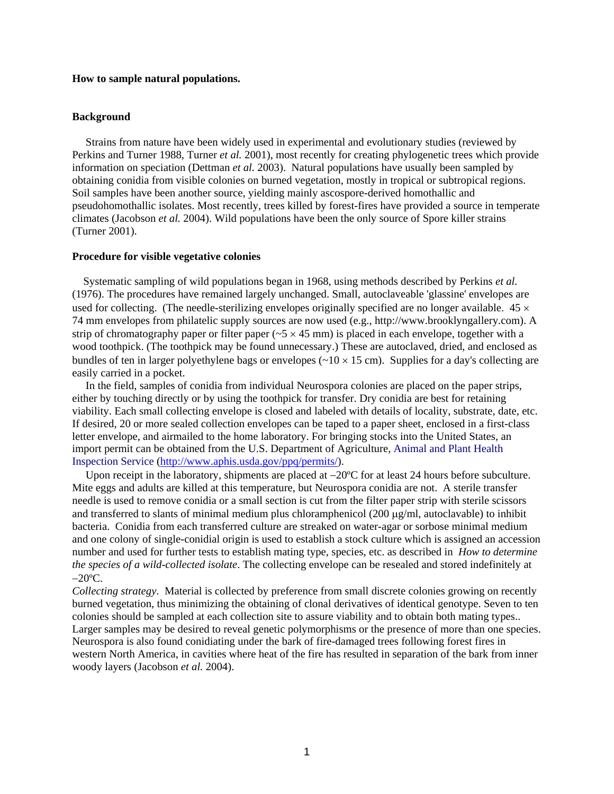# **How to sample natural populations.**

### **Background**

Strains from nature have been widely used in experimental and evolutionary studies (reviewed by Perkins and Turner 1988, Turner *et al.* 2001), most recently for creating phylogenetic trees which provide information on speciation (Dettman *et al.* 2003). Natural populations have usually been sampled by obtaining conidia from visible colonies on burned vegetation, mostly in tropical or subtropical regions. Soil samples have been another source, yielding mainly ascospore-derived homothallic and pseudohomothallic isolates. Most recently, trees killed by forest-fires have provided a source in temperate climates (Jacobson *et al.* 2004). Wild populations have been the only source of Spore killer strains (Turner 2001).

### **Procedure for visible vegetative colonies**

 Systematic sampling of wild populations began in 1968, using methods described by Perkins *et al.* (1976). The procedures have remained largely unchanged. Small, autoclaveable 'glassine' envelopes are used for collecting. (The needle-sterilizing envelopes originally specified are no longer available.  $45 \times$ 74 mm envelopes from philatelic supply sources are now used (e.g., http://www.brooklyngallery.com). A strip of chromatography paper or filter paper ( $-5 \times 45$  mm) is placed in each envelope, together with a wood toothpick. (The toothpick may be found unnecessary.) These are autoclaved, dried, and enclosed as bundles of ten in larger polyethylene bags or envelopes ( $\sim$ 10  $\times$  15 cm). Supplies for a day's collecting are easily carried in a pocket.

In the field, samples of conidia from individual Neurospora colonies are placed on the paper strips, either by touching directly or by using the toothpick for transfer. Dry conidia are best for retaining viability. Each small collecting envelope is closed and labeled with details of locality, substrate, date, etc. If desired, 20 or more sealed collection envelopes can be taped to a paper sheet, enclosed in a first-class letter envelope, and airmailed to the home laboratory. For bringing stocks into the United States, an import permit can be obtained from the U.S. Department of Agriculture, Animal and Plant Health Inspection Service ([http://www.aphis.usda.gov/ppq/permits/\)](http://www.aphis.usda.gov/ppq/permits/).

Upon receipt in the laboratory, shipments are placed at −20°C for at least 24 hours before subculture. Mite eggs and adults are killed at this temperature, but Neurospora conidia are not. A sterile transfer needle is used to remove conidia or a small section is cut from the filter paper strip with sterile scissors and transferred to slants of minimal medium plus chloramphenicol  $(200 \mu g/ml)$ , autoclavable) to inhibit bacteria. Conidia from each transferred culture are streaked on water-agar or sorbose minimal medium and one colony of single-conidial origin is used to establish a stock culture which is assigned an accession number and used for further tests to establish mating type, species, etc. as described in *How to determine the species of a wild-collected isolate*. The collecting envelope can be resealed and stored indefinitely at −20ºC.

*Collecting strategy*. Material is collected by preference from small discrete colonies growing on recently burned vegetation, thus minimizing the obtaining of clonal derivatives of identical genotype. Seven to ten colonies should be sampled at each collection site to assure viability and to obtain both mating types.. Larger samples may be desired to reveal genetic polymorphisms or the presence of more than one species. Neurospora is also found conidiating under the bark of fire-damaged trees following forest fires in western North America, in cavities where heat of the fire has resulted in separation of the bark from inner woody layers (Jacobson *et al.* 2004).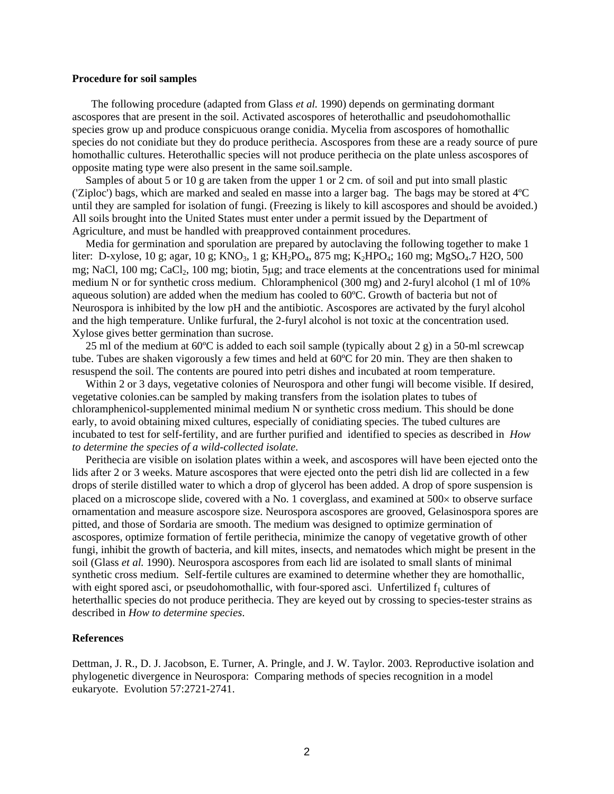### **Procedure for soil samples**

 The following procedure (adapted from Glass *et al.* 1990) depends on germinating dormant ascospores that are present in the soil. Activated ascospores of heterothallic and pseudohomothallic species grow up and produce conspicuous orange conidia. Mycelia from ascospores of homothallic species do not conidiate but they do produce perithecia. Ascospores from these are a ready source of pure homothallic cultures. Heterothallic species will not produce perithecia on the plate unless ascospores of opposite mating type were also present in the same soil.sample.

Samples of about 5 or 10 g are taken from the upper 1 or 2 cm. of soil and put into small plastic ('Ziploc') bags, which are marked and sealed en masse into a larger bag. The bags may be stored at 4ºC until they are sampled for isolation of fungi. (Freezing is likely to kill ascospores and should be avoided.) All soils brought into the United States must enter under a permit issued by the Department of Agriculture, and must be handled with preapproved containment procedures.

Media for germination and sporulation are prepared by autoclaving the following together to make 1 liter: D-xylose, 10 g; agar, 10 g; KNO<sub>3</sub>, 1 g; KH<sub>2</sub>PO<sub>4</sub>, 875 mg; K<sub>2</sub>HPO<sub>4</sub>; 160 mg; MgSO<sub>4</sub>.7 H2O, 500 mg; NaCl, 100 mg; CaCl<sub>2</sub>, 100 mg; biotin, 5µg; and trace elements at the concentrations used for minimal medium N or for synthetic cross medium. Chloramphenicol (300 mg) and 2-furyl alcohol (1 ml of 10% aqueous solution) are added when the medium has cooled to 60ºC. Growth of bacteria but not of Neurospora is inhibited by the low pH and the antibiotic. Ascospores are activated by the furyl alcohol and the high temperature. Unlike furfural, the 2-furyl alcohol is not toxic at the concentration used. Xylose gives better germination than sucrose.

25 ml of the medium at  $60^{\circ}$ C is added to each soil sample (typically about 2 g) in a 50-ml screwcap tube. Tubes are shaken vigorously a few times and held at 60ºC for 20 min. They are then shaken to resuspend the soil. The contents are poured into petri dishes and incubated at room temperature.

Within 2 or 3 days, vegetative colonies of Neurospora and other fungi will become visible. If desired, vegetative colonies.can be sampled by making transfers from the isolation plates to tubes of chloramphenicol-supplemented minimal medium N or synthetic cross medium. This should be done early, to avoid obtaining mixed cultures, especially of conidiating species. The tubed cultures are incubated to test for self-fertility, and are further purified and identified to species as described in *How to determine the species of a wild-collected isolate*.

Perithecia are visible on isolation plates within a week, and ascospores will have been ejected onto the lids after 2 or 3 weeks. Mature ascospores that were ejected onto the petri dish lid are collected in a few drops of sterile distilled water to which a drop of glycerol has been added. A drop of spore suspension is placed on a microscope slide, covered with a No. 1 coverglass, and examined at 500× to observe surface ornamentation and measure ascospore size. Neurospora ascospores are grooved, Gelasinospora spores are pitted, and those of Sordaria are smooth. The medium was designed to optimize germination of ascospores, optimize formation of fertile perithecia, minimize the canopy of vegetative growth of other fungi, inhibit the growth of bacteria, and kill mites, insects, and nematodes which might be present in the soil (Glass *et al.* 1990). Neurospora ascospores from each lid are isolated to small slants of minimal synthetic cross medium. Self-fertile cultures are examined to determine whether they are homothallic, with eight spored asci, or pseudohomothallic, with four-spored asci. Unfertilized  $f_1$  cultures of heterthallic species do not produce perithecia. They are keyed out by crossing to species-tester strains as described in *How to determine species*.

# **References**

Dettman, J. R., D. J. Jacobson, E. Turner, A. Pringle, and J. W. Taylor. 2003. Reproductive isolation and phylogenetic divergence in Neurospora: Comparing methods of species recognition in a model eukaryote. Evolution 57:2721-2741.